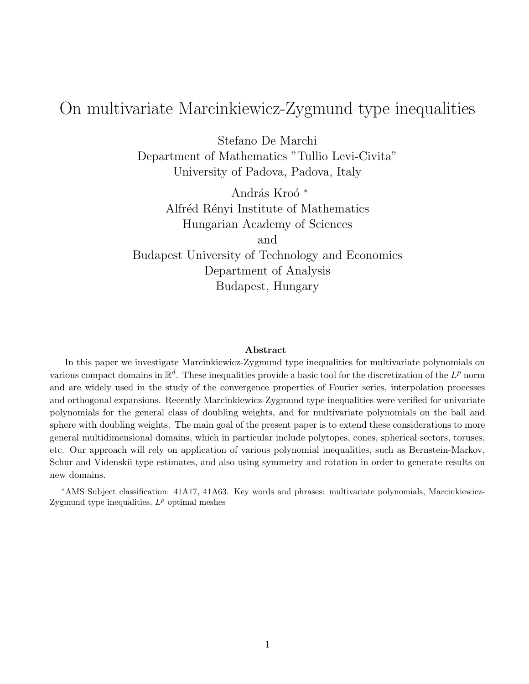# On multivariate Marcinkiewicz-Zygmund type inequalities

Stefano De Marchi Department of Mathematics "Tullio Levi-Civita" University of Padova, Padova, Italy

András Kroó<sup>\*</sup> Alfréd Rényi Institute of Mathematics Hungarian Academy of Sciences and Budapest University of Technology and Economics Department of Analysis Budapest, Hungary

# Abstract

In this paper we investigate Marcinkiewicz-Zygmund type inequalities for multivariate polynomials on various compact domains in  $\mathbb{R}^d$ . These inequalities provide a basic tool for the discretization of the  $L^p$  norm and are widely used in the study of the convergence properties of Fourier series, interpolation processes and orthogonal expansions. Recently Marcinkiewicz-Zygmund type inequalities were verified for univariate polynomials for the general class of doubling weights, and for multivariate polynomials on the ball and sphere with doubling weights. The main goal of the present paper is to extend these considerations to more general multidimensional domains, which in particular include polytopes, cones, spherical sectors, toruses, etc. Our approach will rely on application of various polynomial inequalities, such as Bernstein-Markov, Schur and Videnskii type estimates, and also using symmetry and rotation in order to generate results on new domains.

<sup>∗</sup>AMS Subject classification: 41A17, 41A63. Key words and phrases: multivariate polynomials, Marcinkiewicz-Zygmund type inequalities,  $L^p$  optimal meshes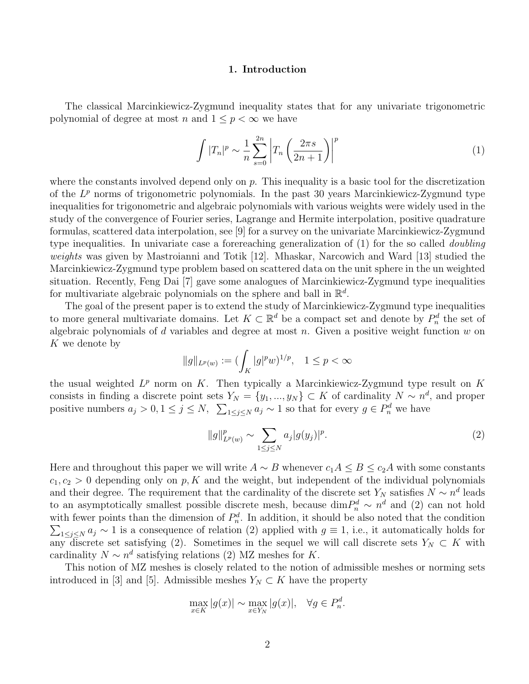#### 1. Introduction

The classical Marcinkiewicz-Zygmund inequality states that for any univariate trigonometric polynomial of degree at most n and  $1 \leq p \leq \infty$  we have

$$
\int |T_n|^p \sim \frac{1}{n} \sum_{s=0}^{2n} \left| T_n \left( \frac{2\pi s}{2n+1} \right) \right|^p \tag{1}
$$

where the constants involved depend only on  $p$ . This inequality is a basic tool for the discretization of the  $L^p$  norms of trigonometric polynomials. In the past 30 years Marcinkiewicz-Zygmund type inequalities for trigonometric and algebraic polynomials with various weights were widely used in the study of the convergence of Fourier series, Lagrange and Hermite interpolation, positive quadrature formulas, scattered data interpolation, see [9] for a survey on the univariate Marcinkiewicz-Zygmund type inequalities. In univariate case a forereaching generalization of (1) for the so called doubling weights was given by Mastroianni and Totik [12]. Mhaskar, Narcowich and Ward [13] studied the Marcinkiewicz-Zygmund type problem based on scattered data on the unit sphere in the un weighted situation. Recently, Feng Dai [7] gave some analogues of Marcinkiewicz-Zygmund type inequalities for multivariate algebraic polynomials on the sphere and ball in  $\mathbb{R}^d$ .

The goal of the present paper is to extend the study of Marcinkiewicz-Zygmund type inequalities to more general multivariate domains. Let  $K \subset \mathbb{R}^d$  be a compact set and denote by  $P_n^d$  the set of algebraic polynomials of  $d$  variables and degree at most  $n$ . Given a positive weight function  $w$  on K we denote by

$$
||g||_{L^p(w)} := (\int_K |g|^p w)^{1/p}, \quad 1 \le p < \infty
$$

the usual weighted  $L^p$  norm on K. Then typically a Marcinkiewicz-Zygmund type result on K consists in finding a discrete point sets  $Y_N = \{y_1, ..., y_N\} \subset K$  of cardinality  $N \sim n^d$ , and proper positive numbers  $a_j > 0, 1 \le j \le N$ ,  $\sum_{1 \le j \le N} a_j \sim 1$  so that for every  $g \in P_n^d$  we have

$$
||g||_{L^{p}(w)}^{p} \sim \sum_{1 \leq j \leq N} a_{j} |g(y_{j})|^{p}.
$$
 (2)

Here and throughout this paper we will write  $A \sim B$  whenever  $c_1A \leq B \leq c_2A$  with some constants  $c_1, c_2 > 0$  depending only on p, K and the weight, but independent of the individual polynomials and their degree. The requirement that the cardinality of the discrete set  $Y_N$  satisfies  $N \sim n^d$  leads to an asymptotically smallest possible discrete mesh, because  $\dim P_n^d \sim n^d$  and (2) can not hold with fewer points than the dimension of  $P_n^d$ . In addition, it should be also noted that the condition  $\sum_{1 \leq j \leq N} a_j \sim 1$  is a consequence of relation (2) applied with  $g \equiv 1$ , i.e., it automatically holds for any discrete set satisfying (2). Sometimes in the sequel we will call discrete sets  $Y_N \subset K$  with cardinality  $N \sim n^d$  satisfying relations (2) MZ meshes for K.

This notion of MZ meshes is closely related to the notion of admissible meshes or norming sets introduced in [3] and [5]. Admissible meshes  $Y_N \subset K$  have the property

$$
\max_{x \in K} |g(x)| \sim \max_{x \in Y_N} |g(x)|, \quad \forall g \in P_n^d.
$$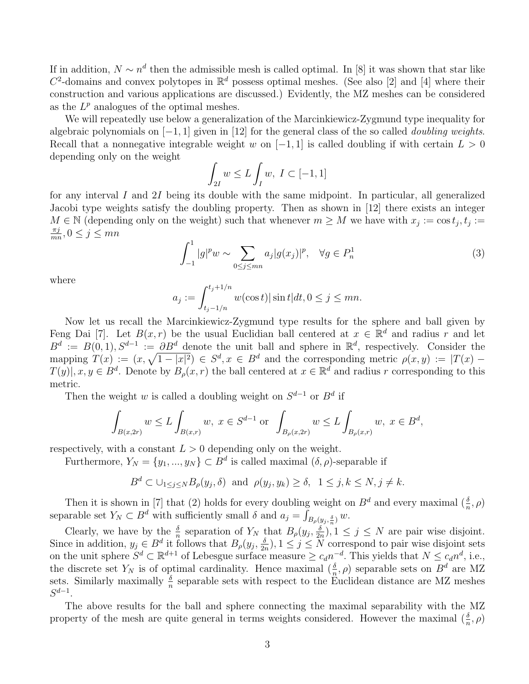If in addition,  $N \sim n^d$  then the admissible mesh is called optimal. In [8] it was shown that star like  $C^2$ -domains and convex polytopes in  $\mathbb{R}^d$  possess optimal meshes. (See also [2] and [4] where their construction and various applications are discussed.) Evidently, the MZ meshes can be considered as the  $L^p$  analogues of the optimal meshes.

We will repeatedly use below a generalization of the Marcinkiewicz-Zygmund type inequality for algebraic polynomials on  $[-1, 1]$  given in [12] for the general class of the so called *doubling weights*. Recall that a nonnegative integrable weight w on  $[-1, 1]$  is called doubling if with certain  $L > 0$ depending only on the weight

$$
\int_{2I} w \le L \int_I w, I \subset [-1,1]
$$

for any interval I and 2I being its double with the same midpoint. In particular, all generalized Jacobi type weights satisfy the doubling property. Then as shown in [12] there exists an integer  $M \in \mathbb{N}$  (depending only on the weight) such that whenever  $m \geq M$  we have with  $x_j := \cos t_j, t_j :=$  $\pi j$  $\frac{\pi j}{mn}, 0 \le j \le mn$ 

$$
\int_{-1}^{1} |g|^{p} w \sim \sum_{0 \le j \le mn} a_{j} |g(x_{j})|^{p}, \quad \forall g \in P_{n}^{1}
$$
 (3)

where

$$
a_j := \int_{t_j - 1/n}^{t_j + 1/n} w(\cos t) |\sin t| dt, 0 \le j \le mn.
$$

Now let us recall the Marcinkiewicz-Zygmund type results for the sphere and ball given by Feng Dai [7]. Let  $B(x, r)$  be the usual Euclidian ball centered at  $x \in \mathbb{R}^d$  and radius r and let  $B^d := B(0,1), S^{d-1} := \partial B^d$  denote the unit ball and sphere in  $\mathbb{R}^d$ , respectively. Consider the mapping  $T(x) := (x, \sqrt{1-|x|^2}) \in S^d, x \in B^d$  and the corresponding metric  $\rho(x, y) := |T(x) T(y)|, x, y \in B^d$ . Denote by  $B_\rho(x,r)$  the ball centered at  $x \in \mathbb{R}^d$  and radius r corresponding to this metric.

Then the weight w is called a doubling weight on  $S^{d-1}$  or  $B^d$  if

$$
\int_{B(x,2r)} w \le L \int_{B(x,r)} w, \ x \in S^{d-1} \text{ or } \int_{B_{\rho}(x,2r)} w \le L \int_{B_{\rho}(x,r)} w, \ x \in B^d,
$$

respectively, with a constant  $L > 0$  depending only on the weight.

Furthermore,  $Y_N = \{y_1, ..., y_N\} \subset B^d$  is called maximal  $(\delta, \rho)$ -separable if

$$
B^d \subset \bigcup_{1 \leq j \leq N} B_{\rho}(y_j, \delta)
$$
 and  $\rho(y_j, y_k) \geq \delta$ ,  $1 \leq j, k \leq N, j \neq k$ .

Then it is shown in [7] that (2) holds for every doubling weight on  $B^d$  and every maximal  $(\frac{\delta}{n}, \rho)$ separable set  $Y_N \subset B^d$  with sufficiently small  $\delta$  and  $a_j = \int_{B_\rho(y_j, \frac{\delta}{n})} w$ .

Clearly, we have by the  $\frac{\delta}{n}$  separation of  $Y_N$  that  $B_\rho(y_j, \frac{\delta}{2n})$  $\frac{\delta}{2n}$ ,  $1 \leq j \leq N$  are pair wise disjoint. Since in addition,  $y_j \in B^d$  it follows that  $B_\rho(y_j, \frac{\delta}{2g}$  $\frac{\delta}{2n}$ ,  $1 \leq j \leq N$  correspond to pair wise disjoint sets on the unit sphere  $S^d \subset \mathbb{R}^{d+1}$  of Lebesgue surface measure  $\geq c_d n^{-d}$ . This yields that  $N \leq c_d n^d$ , i.e., the discrete set  $Y_N$  is of optimal cardinality. Hence maximal  $(\frac{\delta}{n}, \rho)$  separable sets on  $B^d$  are MZ sets. Similarly maximally  $\frac{\delta}{n}$  separable sets with respect to the Euclidean distance are MZ meshes  $S^{d-1}$ .

The above results for the ball and sphere connecting the maximal separability with the MZ property of the mesh are quite general in terms weights considered. However the maximal  $(\frac{\delta}{n}, \rho)$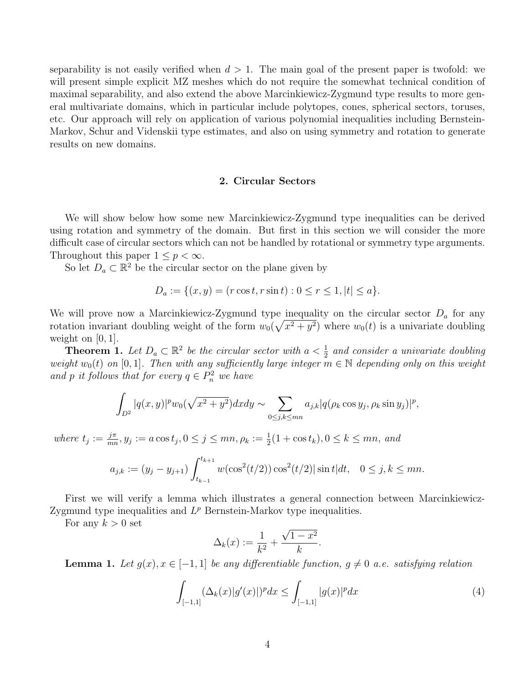separability is not easily verified when  $d > 1$ . The main goal of the present paper is twofold: we will present simple explicit MZ meshes which do not require the somewhat technical condition of maximal separability, and also extend the above Marcinkiewicz-Zygmund type results to more general multivariate domains, which in particular include polytopes, cones, spherical sectors, toruses, etc. Our approach will rely on application of various polynomial inequalities including Bernstein-Markov, Schur and Videnskii type estimates, and also on using symmetry and rotation to generate results on new domains.

# 2. Circular Sectors

We will show below how some new Marcinkiewicz-Zygmund type inequalities can be derived using rotation and symmetry of the domain. But first in this section we will consider the more difficult case of circular sectors which can not be handled by rotational or symmetry type arguments. Throughout this paper  $1 \leq p < \infty$ .

So let  $D_a \subset \mathbb{R}^2$  be the circular sector on the plane given by

$$
D_a := \{(x, y) = (r \cos t, r \sin t) : 0 \le r \le 1, |t| \le a\}.
$$

We will prove now a Marcinkiewicz-Zygmund type inequality on the circular sector  $D_a$  for any rotation invariant doubling weight of the form  $w_0(\sqrt{x^2+y^2})$  where  $w_0(t)$  is a univariate doubling weight on  $[0, 1]$ .

**Theorem 1.** Let  $D_a \subset \mathbb{R}^2$  be the circular sector with  $a < \frac{1}{2}$  and consider a univariate doubling weight  $w_0(t)$  on [0, 1]. Then with any sufficiently large integer  $m \in \mathbb{N}$  depending only on this weight and p it follows that for every  $q \in P_n^2$  we have

$$
\int_{D^2} |q(x,y)|^p w_0(\sqrt{x^2 + y^2}) dx dy \sim \sum_{0 \le j,k \le mn} a_{j,k} |q(\rho_k \cos y_j, \rho_k \sin y_j)|^p,
$$

where  $t_j := \frac{j\pi}{mr}$  $\frac{j\pi}{mn}, y_j := a \cos t_j, 0 \le j \le mn, \rho_k := \frac{1}{2}(1 + \cos t_k), 0 \le k \le mn, \text{ and}$ 

$$
a_{j,k} := (y_j - y_{j+1}) \int_{t_{k-1}}^{t_{k+1}} w(\cos^2(t/2)) \cos^2(t/2) |\sin t| dt, \quad 0 \le j, k \le mn.
$$

First we will verify a lemma which illustrates a general connection between Marcinkiewicz-Zygmund type inequalities and  $L^p$  Bernstein-Markov type inequalities.

For any  $k > 0$  set

$$
\Delta_k(x) := \frac{1}{k^2} + \frac{\sqrt{1 - x^2}}{k}.
$$

**Lemma 1.** Let  $g(x), x \in [-1, 1]$  be any differentiable function,  $g \neq 0$  a.e. satisfying relation

$$
\int_{[-1,1]} (\Delta_k(x)|g'(x)|)^p dx \le \int_{[-1,1]} |g(x)|^p dx \tag{4}
$$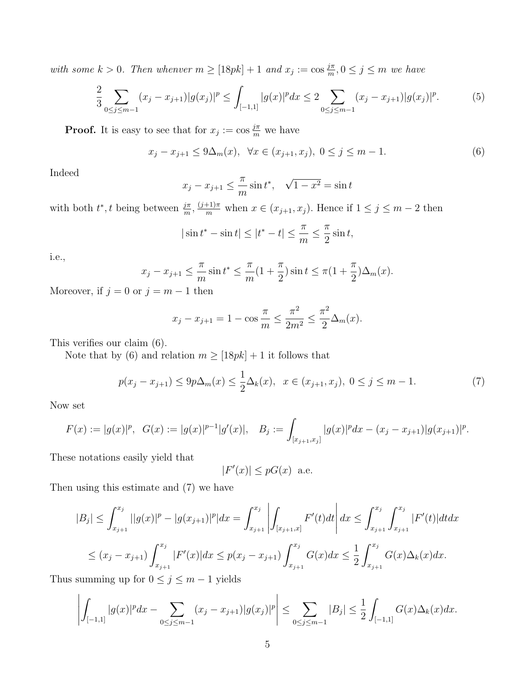with some  $k > 0$ . Then whenver  $m \geq [18pk] + 1$  and  $x_j := \cos \frac{j\pi}{m}, 0 \leq j \leq m$  we have

$$
\frac{2}{3} \sum_{0 \le j \le m-1} (x_j - x_{j+1}) |g(x_j)|^p \le \int_{[-1,1]} |g(x)|^p dx \le 2 \sum_{0 \le j \le m-1} (x_j - x_{j+1}) |g(x_j)|^p. \tag{5}
$$

**Proof.** It is easy to see that for  $x_j := \cos \frac{j\pi}{m}$  we have

$$
x_j - x_{j+1} \le 9\Delta_m(x), \ \ \forall x \in (x_{j+1}, x_j), \ 0 \le j \le m-1. \tag{6}
$$

Indeed

$$
x_j - x_{j+1} \leq \frac{\pi}{m} \sin t^*, \quad \sqrt{1 - x^2} = \sin t
$$

with both  $t^*, t$  being between  $\frac{j\pi}{m}, \frac{(j+1)\pi}{m}$  when  $x \in (x_{j+1}, x_j)$ . Hence if  $1 \le j \le m-2$  then

$$
|\sin t^* - \sin t| \le |t^* - t| \le \frac{\pi}{m} \le \frac{\pi}{2} \sin t,
$$

i.e.,

$$
x_j - x_{j+1} \le \frac{\pi}{m} \sin t^* \le \frac{\pi}{m} (1 + \frac{\pi}{2}) \sin t \le \pi (1 + \frac{\pi}{2}) \Delta_m(x).
$$

Moreover, if  $j = 0$  or  $j = m - 1$  then

$$
x_j - x_{j+1} = 1 - \cos \frac{\pi}{m} \le \frac{\pi^2}{2m^2} \le \frac{\pi^2}{2} \Delta_m(x).
$$

This verifies our claim (6).

Note that by (6) and relation  $m \geq [18pk] + 1$  it follows that

$$
p(x_j - x_{j+1}) \le 9p\Delta_m(x) \le \frac{1}{2}\Delta_k(x), \ \ x \in (x_{j+1}, x_j), \ 0 \le j \le m-1. \tag{7}
$$

Now set

$$
F(x) := |g(x)|^p, \ \ G(x) := |g(x)|^{p-1}|g'(x)|, \quad B_j := \int_{[x_{j+1},x_j]} |g(x)|^p dx - (x_j - x_{j+1})|g(x_{j+1})|^p.
$$

These notations easily yield that

$$
|F'(x)| \le pG(x) \text{ a.e.}
$$

Then using this estimate and (7) we have

$$
|B_j| \leq \int_{x_{j+1}}^{x_j} ||g(x)|^p - |g(x_{j+1})|^p |dx = \int_{x_{j+1}}^{x_j} \left| \int_{[x_{j+1},x]} F'(t)dt \right| dx \leq \int_{x_{j+1}}^{x_j} \int_{x_{j+1}}^{x_j} |F'(t)| dt dx
$$
  

$$
\leq (x_j - x_{j+1}) \int_{x_{j+1}}^{x_j} |F'(x)| dx \leq p(x_j - x_{j+1}) \int_{x_{j+1}}^{x_j} G(x) dx \leq \frac{1}{2} \int_{x_{j+1}}^{x_j} G(x) \Delta_k(x) dx.
$$

Thus summing up for  $0 \le j \le m - 1$  yields

$$
\left| \int_{[-1,1]} |g(x)|^p dx - \sum_{0 \le j \le m-1} (x_j - x_{j+1}) |g(x_j)|^p \right| \le \sum_{0 \le j \le m-1} |B_j| \le \frac{1}{2} \int_{[-1,1]} G(x) \Delta_k(x) dx.
$$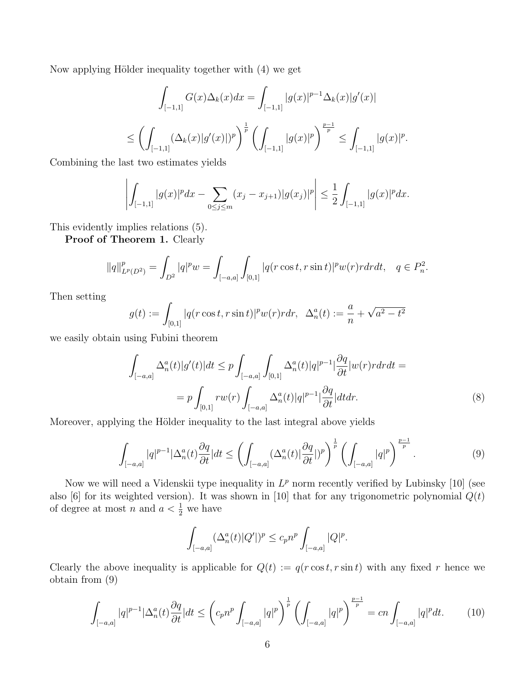Now applying Hölder inequality together with  $(4)$  we get

$$
\int_{[-1,1]} G(x)\Delta_k(x)dx = \int_{[-1,1]} |g(x)|^{p-1}\Delta_k(x)|g'(x)|
$$
  

$$
\leq \left(\int_{[-1,1]} (\Delta_k(x)|g'(x)|)^p\right)^{\frac{1}{p}} \left(\int_{[-1,1]} |g(x)|^p\right)^{\frac{p-1}{p}} \leq \int_{[-1,1]} |g(x)|^p.
$$

Combining the last two estimates yields

$$
\left| \int_{[-1,1]} |g(x)|^p dx - \sum_{0 \le j \le m} (x_j - x_{j+1}) |g(x_j)|^p \right| \le \frac{1}{2} \int_{[-1,1]} |g(x)|^p dx.
$$

This evidently implies relations (5).

Proof of Theorem 1. Clearly

$$
||q||_{L^{p}(D^{2})}^{p} = \int_{D^{2}} |q|^{p}w = \int_{[-a,a]} \int_{[0,1]} |q(r\cos t, r\sin t)|^{p} w(r)r dr dt, \quad q \in P_{n}^{2}.
$$

Then setting

$$
g(t) := \int_{[0,1]} |q(r \cos t, r \sin t)|^p w(r) r dr, \ \ \Delta_n^a(t) := \frac{a}{n} + \sqrt{a^2 - t^2}
$$

we easily obtain using Fubini theorem

$$
\int_{[-a,a]} \Delta_n^a(t)|g'(t)|dt \leq p \int_{[-a,a]} \int_{[0,1]} \Delta_n^a(t)|q|^{p-1} \Big| \frac{\partial q}{\partial t} |w(r)r dr dt =
$$
\n
$$
= p \int_{[0,1]} rw(r) \int_{[-a,a]} \Delta_n^a(t)|q|^{p-1} \Big| \frac{\partial q}{\partial t} |dtdr. \tag{8}
$$

Moreover, applying the Hölder inequality to the last integral above yields

$$
\int_{[-a,a]} |q|^{p-1} |\Delta_n^a(t) \frac{\partial q}{\partial t}| dt \le \left( \int_{[-a,a]} (\Delta_n^a(t) |\frac{\partial q}{\partial t}|)^p \right)^{\frac{1}{p}} \left( \int_{[-a,a]} |q|^p \right)^{\frac{p-1}{p}}.
$$
\n(9)

Now we will need a Videnskii type inequality in  $L^p$  norm recently verified by Lubinsky [10] (see also [6] for its weighted version). It was shown in [10] that for any trigonometric polynomial  $Q(t)$ of degree at most *n* and  $a < \frac{1}{2}$  we have

$$
\int_{[-a,a]} (\Delta_n^a(t)|Q'|)^p \le c_p n^p \int_{[-a,a]} |Q|^p.
$$

Clearly the above inequality is applicable for  $Q(t) := q(r \cos t, r \sin t)$  with any fixed r hence we obtain from (9)

$$
\int_{[-a,a]} |q|^{p-1} |\Delta_n^a(t) \frac{\partial q}{\partial t}| dt \le \left( c_p n^p \int_{[-a,a]} |q|^p \right)^{\frac{1}{p}} \left( \int_{[-a,a]} |q|^p \right)^{\frac{p-1}{p}} = cn \int_{[-a,a]} |q|^p dt. \tag{10}
$$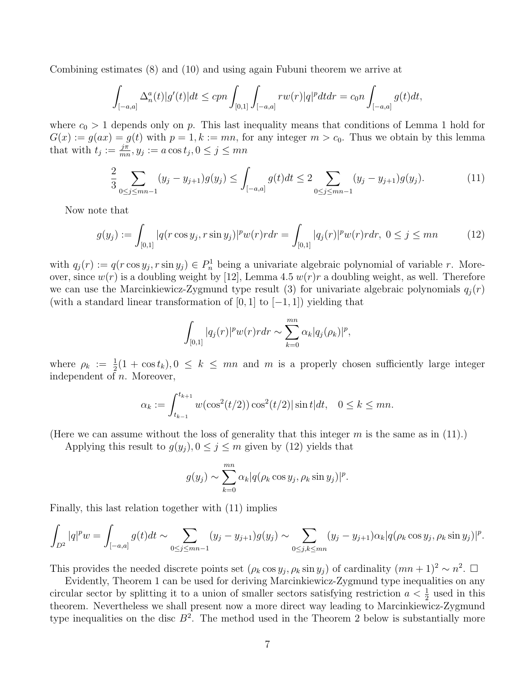Combining estimates (8) and (10) and using again Fubuni theorem we arrive at

$$
\int_{[-a,a]} \Delta_n^a(t)|g'(t)|dt \le c p n \int_{[0,1]} \int_{[-a,a]} r w(r)|q|^p dt dr = c_0 n \int_{[-a,a]} g(t) dt,
$$

where  $c_0 > 1$  depends only on p. This last inequality means that conditions of Lemma 1 hold for  $G(x) := g(ax) = g(t)$  with  $p = 1, k := mn$ , for any integer  $m > c_0$ . Thus we obtain by this lemma that with  $t_j := \frac{j\pi}{mr}$  $\frac{j\pi}{mn}, y_j := a\cos t_j, 0 \le j \le mn$ 

$$
\frac{2}{3} \sum_{0 \le j \le mn - 1} (y_j - y_{j+1}) g(y_j) \le \int_{[-a,a]} g(t) dt \le 2 \sum_{0 \le j \le mn - 1} (y_j - y_{j+1}) g(y_j). \tag{11}
$$

Now note that

$$
g(y_j) := \int_{[0,1]} |q(r\cos y_j, r\sin y_j)|^p w(r) r dr = \int_{[0,1]} |q_j(r)|^p w(r) r dr, \ 0 \le j \le mn \tag{12}
$$

with  $q_j(r) := q(r \cos y_j, r \sin y_j) \in P_n^1$  being a univariate algebraic polynomial of variable r. Moreover, since  $w(r)$  is a doubling weight by [12], Lemma 4.5  $w(r)r$  a doubling weight, as well. Therefore we can use the Marcinkiewicz-Zygmund type result (3) for univariate algebraic polynomials  $q_i(r)$ (with a standard linear transformation of [0, 1] to  $[-1, 1]$ ) yielding that

$$
\int_{[0,1]} |q_j(r)|^p w(r) r dr \sim \sum_{k=0}^{mn} \alpha_k |q_j(\rho_k)|^p,
$$

where  $\rho_k := \frac{1}{2}(1 + \cos t_k), 0 \leq k \leq mn$  and m is a properly chosen sufficiently large integer independent of n. Moreover,

$$
\alpha_k := \int_{t_{k-1}}^{t_{k+1}} w(\cos^2(t/2)) \cos^2(t/2) |\sin t| dt, \quad 0 \le k \le mn.
$$

(Here we can assume without the loss of generality that this integer  $m$  is the same as in (11).)

Applying this result to  $g(y_j)$ ,  $0 \le j \le m$  given by (12) yields that

$$
g(y_j) \sim \sum_{k=0}^{mn} \alpha_k |q(\rho_k \cos y_j, \rho_k \sin y_j)|^p.
$$

Finally, this last relation together with (11) implies

$$
\int_{D^2} |q|^p w = \int_{[-a,a]} g(t) dt \sim \sum_{0 \le j \le mn-1} (y_j - y_{j+1}) g(y_j) \sim \sum_{0 \le j,k \le mn} (y_j - y_{j+1}) \alpha_k |q(\rho_k \cos y_j, \rho_k \sin y_j)|^p.
$$

This provides the needed discrete points set  $(\rho_k \cos y_j, \rho_k \sin y_j)$  of cardinality  $(mn + 1)^2 \sim n^2$ .  $\Box$ 

Evidently, Theorem 1 can be used for deriving Marcinkiewicz-Zygmund type inequalities on any circular sector by splitting it to a union of smaller sectors satisfying restriction  $a < \frac{1}{2}$  used in this theorem. Nevertheless we shall present now a more direct way leading to Marcinkiewicz-Zygmund type inequalities on the disc  $B^2$ . The method used in the Theorem 2 below is substantially more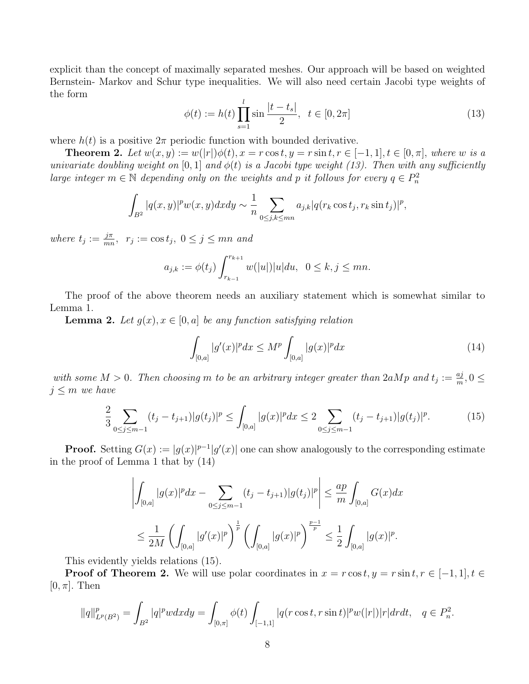explicit than the concept of maximally separated meshes. Our approach will be based on weighted Bernstein- Markov and Schur type inequalities. We will also need certain Jacobi type weights of the form

$$
\phi(t) := h(t) \prod_{s=1}^{l} \sin \frac{|t - t_s|}{2}, \ \ t \in [0, 2\pi]
$$
\n(13)

where  $h(t)$  is a positive  $2\pi$  periodic function with bounded derivative.

**Theorem 2.** Let  $w(x, y) := w(|r|) \phi(t)$ ,  $x = r \cos t$ ,  $y = r \sin t$ ,  $r \in [-1, 1]$ ,  $t \in [0, \pi]$ , where w is a univariate doubling weight on [0, 1] and  $\phi(t)$  is a Jacobi type weight (13). Then with any sufficiently large integer  $m \in \mathbb{N}$  depending only on the weights and p it follows for every  $q \in P_n^2$ 

$$
\int_{B^2} |q(x,y)|^p w(x,y) dx dy \sim \frac{1}{n} \sum_{0 \le j,k \le mn} a_{j,k} |q(r_k \cos t_j, r_k \sin t_j)|^p,
$$

where  $t_j := \frac{j\pi}{mr}$  $\frac{j\pi}{mn}$ ,  $r_j := \cos t_j$ ,  $0 \le j \le mn$  and

$$
a_{j,k} := \phi(t_j) \int_{r_{k-1}}^{r_{k+1}} w(|u|) |u| du, \ \ 0 \le k, j \le mn.
$$

The proof of the above theorem needs an auxiliary statement which is somewhat similar to Lemma 1.

**Lemma 2.** Let  $g(x), x \in [0, a]$  be any function satisfying relation

$$
\int_{[0,a]} |g'(x)|^p dx \le M^p \int_{[0,a]} |g(x)|^p dx \tag{14}
$$

with some  $M > 0$ . Then choosing m to be an arbitrary integer greater than  $2aMp$  and  $t_j := \frac{aj}{m}$  $\frac{a_j}{m}, 0 \leq$  $j \leq m$  we have

$$
\frac{2}{3} \sum_{0 \le j \le m-1} (t_j - t_{j+1}) |g(t_j)|^p \le \int_{[0,a]} |g(x)|^p dx \le 2 \sum_{0 \le j \le m-1} (t_j - t_{j+1}) |g(t_j)|^p. \tag{15}
$$

**Proof.** Setting  $G(x) := |g(x)|^{p-1}|g'(x)|$  one can show analogously to the corresponding estimate in the proof of Lemma 1 that by (14)

$$
\left| \int_{[0,a]} |g(x)|^p dx - \sum_{0 \le j \le m-1} (t_j - t_{j+1}) |g(t_j)|^p \right| \le \frac{ap}{m} \int_{[0,a]} G(x) dx
$$
  

$$
\le \frac{1}{2M} \left( \int_{[0,a]} |g'(x)|^p \right)^{\frac{1}{p}} \left( \int_{[0,a]} |g(x)|^p \right)^{\frac{p-1}{p}} \le \frac{1}{2} \int_{[0,a]} |g(x)|^p.
$$

This evidently yields relations (15).

**Proof of Theorem 2.** We will use polar coordinates in  $x = r \cos t, y = r \sin t, r \in [-1, 1], t \in$  $[0, \pi]$ . Then

$$
||q||_{L^{p}(B^{2})}^{p} = \int_{B^{2}} |q|^{p} w dx dy = \int_{[0,\pi]} \phi(t) \int_{[-1,1]} |q(r\cos t, r\sin t)|^{p} w(|r|) |r| dr dt, \quad q \in P_{n}^{2}.
$$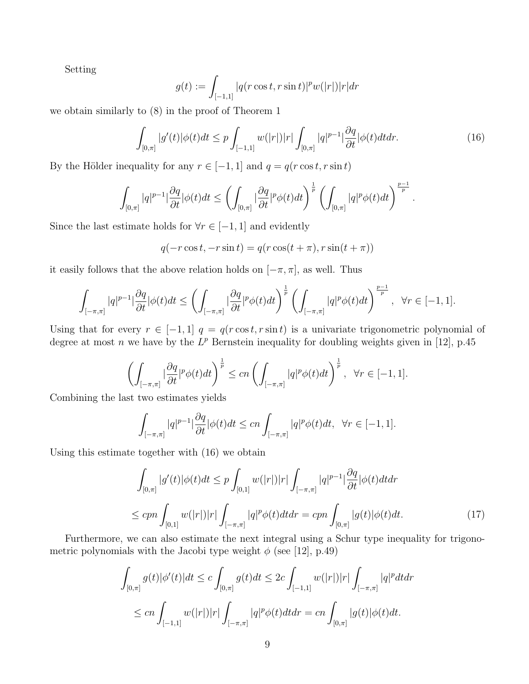Setting

$$
g(t) := \int_{[-1,1]} |q(r\cos t, r\sin t)|^p w(|r|) |r| dr
$$

we obtain similarly to (8) in the proof of Theorem 1

$$
\int_{[0,\pi]} |g'(t)| \phi(t) dt \leq p \int_{[-1,1]} w(|r|) |r| \int_{[0,\pi]} |q|^{p-1} \left| \frac{\partial q}{\partial t} \right| \phi(t) dt dr. \tag{16}
$$

By the Hölder inequality for any  $r \in [-1, 1]$  and  $q = q(r \cos t, r \sin t)$ 

$$
\int_{[0,\pi]}|q|^{p-1}|\frac{\partial q}{\partial t}|\phi(t)dt\leq \left(\int_{[0,\pi]}|\frac{\partial q}{\partial t}|^p\phi(t)dt\right)^{\frac{1}{p}}\left(\int_{[0,\pi]}|q|^p\phi(t)dt\right)^{\frac{p-1}{p}}.
$$

Since the last estimate holds for  $\forall r \in [-1, 1]$  and evidently

$$
q(-r\cos t, -r\sin t) = q(r\cos(t+\pi), r\sin(t+\pi))
$$

it easily follows that the above relation holds on  $[-\pi, \pi]$ , as well. Thus

$$
\int_{[-\pi,\pi]}|q|^{p-1}|\frac{\partial q}{\partial t}|\phi(t)dt\leq \left(\int_{[-\pi,\pi]}|\frac{\partial q}{\partial t}|^p\phi(t)dt\right)^{\frac{1}{p}}\left(\int_{[-\pi,\pi]}|q|^p\phi(t)dt\right)^{\frac{p-1}{p}},\ \ \forall r\in[-1,1].
$$

Using that for every  $r \in [-1, 1]$   $q = q(r \cos t, r \sin t)$  is a univariate trigonometric polynomial of degree at most n we have by the  $L^p$  Bernstein inequality for doubling weights given in [12], p.45

$$
\left(\int_{[-\pi,\pi]}|\frac{\partial q}{\partial t}|^p\phi(t)dt\right)^{\frac{1}{p}} \le cn\left(\int_{[-\pi,\pi]}|q|^p\phi(t)dt\right)^{\frac{1}{p}}, \ \forall r \in [-1,1].
$$

Combining the last two estimates yields

$$
\int_{[-\pi,\pi]} |q|^{p-1} |\frac{\partial q}{\partial t}| \phi(t) dt \leq cn \int_{[-\pi,\pi]} |q|^p \phi(t) dt, \ \forall r \in [-1,1].
$$

Using this estimate together with (16) we obtain

$$
\int_{[0,\pi]} |g'(t)|\phi(t)dt \leq p \int_{[0,1]} w(|r|)|r| \int_{[-\pi,\pi]} |q|^{p-1} \frac{\partial q}{\partial t} |\phi(t)dt dr
$$
\n
$$
\leq c p n \int_{[0,1]} w(|r|)|r| \int_{[-\pi,\pi]} |q|^p \phi(t)dt dr = c p n \int_{[0,\pi]} |g(t)|\phi(t)dt. \tag{17}
$$

Furthermore, we can also estimate the next integral using a Schur type inequality for trigonometric polynomials with the Jacobi type weight  $\phi$  (see [12], p.49)

$$
\int_{[0,\pi]} g(t)|\phi'(t)|dt \le c \int_{[0,\pi]} g(t)dt \le 2c \int_{[-1,1]} w(|r|)|r| \int_{[-\pi,\pi]} |q|^p dt dr
$$
  

$$
\le cn \int_{[-1,1]} w(|r|)|r| \int_{[-\pi,\pi]} |q|^p \phi(t) dt dr = cn \int_{[0,\pi]} |g(t)| \phi(t) dt.
$$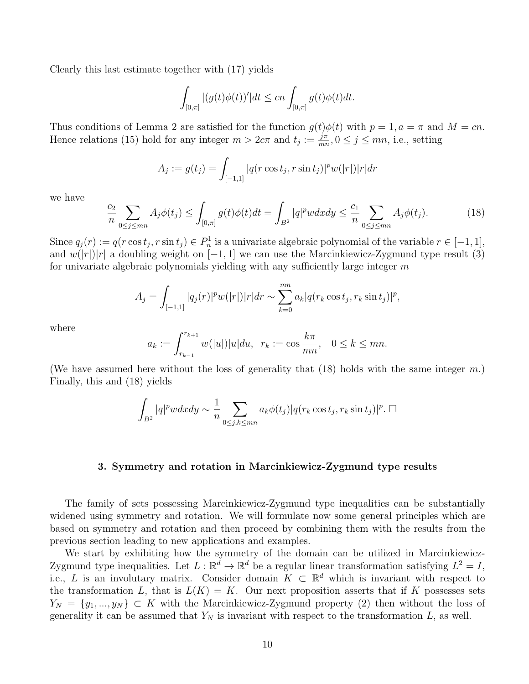Clearly this last estimate together with (17) yields

$$
\int_{[0,\pi]}|(g(t)\phi(t))'|dt\leq cn\int_{[0,\pi]}g(t)\phi(t)dt.
$$

Thus conditions of Lemma 2 are satisfied for the function  $g(t)\phi(t)$  with  $p=1, a=\pi$  and  $M=cn$ . Hence relations (15) hold for any integer  $m > 2c\pi$  and  $t_j := \frac{j\pi}{mr}$  $\frac{j\pi}{mn}, 0 \le j \le mn$ , i.e., setting

$$
A_j := g(t_j) = \int_{[-1,1]} |q(r \cos t_j, r \sin t_j)|^p w(|r|) |r| dr
$$

we have

$$
\frac{c_2}{n} \sum_{0 \le j \le mn} A_j \phi(t_j) \le \int_{[0,\pi]} g(t) \phi(t) dt = \int_{B^2} |q|^p w dx dy \le \frac{c_1}{n} \sum_{0 \le j \le mn} A_j \phi(t_j). \tag{18}
$$

Since  $q_j(r) := q(r \cos t_j, r \sin t_j) \in P_n^1$  is a univariate algebraic polynomial of the variable  $r \in [-1, 1]$ , and  $w(|r|)|r|$  a doubling weight on [−1, 1] we can use the Marcinkiewicz-Zygmund type result (3) for univariate algebraic polynomials yielding with any sufficiently large integer  $m$ 

$$
A_j = \int_{[-1,1]} |q_j(r)|^p w(|r|) |r| dr \sim \sum_{k=0}^{mn} a_k |q(r_k \cos t_j, r_k \sin t_j)|^p,
$$

where

$$
a_k := \int_{r_{k-1}}^{r_{k+1}} w(|u|) |u| du, \ \ r_k := \cos \frac{k\pi}{mn}, \ \ 0 \le k \le mn.
$$

(We have assumed here without the loss of generality that  $(18)$  holds with the same integer m.) Finally, this and (18) yields

$$
\int_{B^2} |q|^p w dx dy \sim \frac{1}{n} \sum_{0 \le j,k \le mn} a_k \phi(t_j) |q(r_k \cos t_j, r_k \sin t_j)|^p. \square
$$

#### 3. Symmetry and rotation in Marcinkiewicz-Zygmund type results

The family of sets possessing Marcinkiewicz-Zygmund type inequalities can be substantially widened using symmetry and rotation. We will formulate now some general principles which are based on symmetry and rotation and then proceed by combining them with the results from the previous section leading to new applications and examples.

We start by exhibiting how the symmetry of the domain can be utilized in Marcinkiewicz-Zygmund type inequalities. Let  $L : \mathbb{R}^d \to \mathbb{R}^d$  be a regular linear transformation satisfying  $L^2 = I$ , i.e., L is an involutary matrix. Consider domain  $K \subset \mathbb{R}^d$  which is invariant with respect to the transformation L, that is  $L(K) = K$ . Our next proposition asserts that if K possesses sets  $Y_N = \{y_1, ..., y_N\} \subset K$  with the Marcinkiewicz-Zygmund property (2) then without the loss of generality it can be assumed that  $Y_N$  is invariant with respect to the transformation L, as well.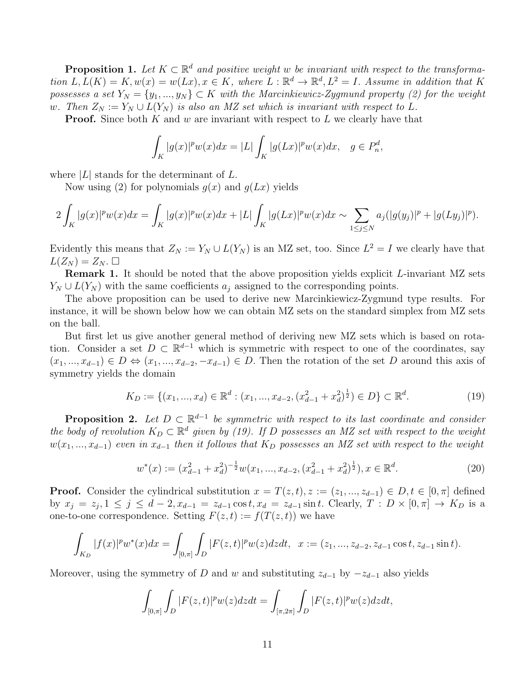**Proposition 1.** Let  $K \subset \mathbb{R}^d$  and positive weight w be invariant with respect to the transformation  $L, L(K) = K, w(x) = w(Lx), x \in K$ , where  $L : \mathbb{R}^d \to \mathbb{R}^d, L^2 = I$ . Assume in addition that K possesses a set  $Y_N = \{y_1, ..., y_N\} \subset K$  with the Marcinkiewicz-Zygmund property (2) for the weight w. Then  $Z_N := Y_N \cup L(Y_N)$  is also an MZ set which is invariant with respect to L.

**Proof.** Since both K and w are invariant with respect to L we clearly have that

$$
\int_{K} |g(x)|^p w(x) dx = |L| \int_{K} |g(Lx)|^p w(x) dx, \quad g \in P_n^d,
$$

where  $|L|$  stands for the determinant of  $L$ .

Now using (2) for polynomials  $g(x)$  and  $g(Lx)$  yields

$$
2\int_K |g(x)|^p w(x) dx = \int_K |g(x)|^p w(x) dx + |L| \int_K |g(Lx)|^p w(x) dx \sim \sum_{1 \le j \le N} a_j (|g(y_j)|^p + |g(Ly_j)|^p).
$$

Evidently this means that  $Z_N := Y_N \cup L(Y_N)$  is an MZ set, too. Since  $L^2 = I$  we clearly have that  $L(Z_N) = Z_N$ .

**Remark 1.** It should be noted that the above proposition yields explicit L-invariant MZ sets  $Y_N \cup L(Y_N)$  with the same coefficients  $a_i$  assigned to the corresponding points.

The above proposition can be used to derive new Marcinkiewicz-Zygmund type results. For instance, it will be shown below how we can obtain MZ sets on the standard simplex from MZ sets on the ball.

But first let us give another general method of deriving new MZ sets which is based on rotation. Consider a set  $D \subset \mathbb{R}^{d-1}$  which is symmetric with respect to one of the coordinates, say  $(x_1, ..., x_{d-1}) \in D \Leftrightarrow (x_1, ..., x_{d-2}, -x_{d-1}) \in D$ . Then the rotation of the set D around this axis of symmetry yields the domain

$$
K_D := \{ (x_1, ..., x_d) \in \mathbb{R}^d : (x_1, ..., x_{d-2}, (x_{d-1}^2 + x_d^2)^{\frac{1}{2}}) \in D \} \subset \mathbb{R}^d.
$$
 (19)

**Proposition 2.** Let  $D \subset \mathbb{R}^{d-1}$  be symmetric with respect to its last coordinate and consider the body of revolution  $K_D \subset \mathbb{R}^d$  given by (19). If D possesses an MZ set with respect to the weight  $w(x_1, ..., x_{d-1})$  even in  $x_{d-1}$  then it follows that K<sub>D</sub> possesses an MZ set with respect to the weight

$$
w^*(x) := (x_{d-1}^2 + x_d^2)^{-\frac{1}{2}} w(x_1, ..., x_{d-2}, (x_{d-1}^2 + x_d^2)^{\frac{1}{2}}), x \in \mathbb{R}^d.
$$
 (20)

**Proof.** Consider the cylindrical substitution  $x = T(z, t)$ ,  $z := (z_1, ..., z_{d-1}) \in D, t \in [0, \pi]$  defined by  $x_j = z_j, 1 \le j \le d-2, x_{d-1} = z_{d-1} \cos t, x_d = z_{d-1} \sin t$ . Clearly,  $T : D \times [0, \pi] \to K_D$  is a one-to-one correspondence. Setting  $F(z, t) := f(T(z, t))$  we have

$$
\int_{K_D}|f(x)|^p w^*(x)dx = \int_{[0,\pi]}\int_D|F(z,t)|^p w(z)dzdt,\ \ x:=(z_1,...,z_{d-2},z_{d-1}\cos t,z_{d-1}\sin t).
$$

Moreover, using the symmetry of D and w and substituting  $z_{d-1}$  by  $-z_{d-1}$  also yields

$$
\int_{[0,\pi]}\int_D|F(z,t)|^pw(z)dzdt=\int_{[\pi,2\pi]}\int_D|F(z,t)|^pw(z)dzdt,
$$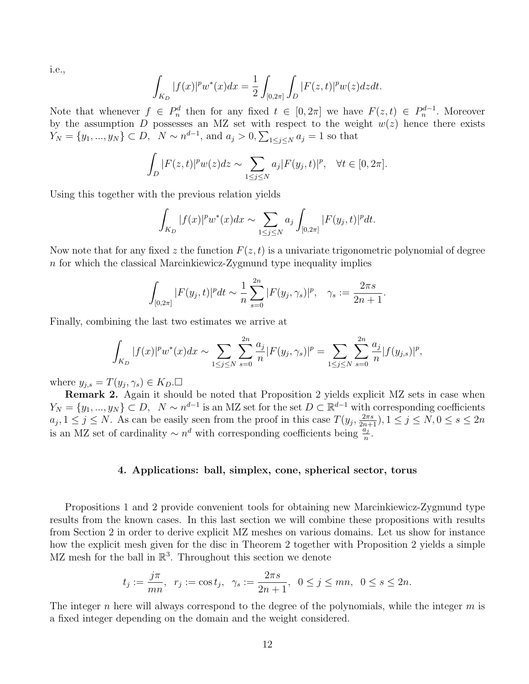i.e.,

$$
\int_{K_D} |f(x)|^p w^*(x) dx = \frac{1}{2} \int_{[0,2\pi]} \int_D |F(z,t)|^p w(z) dz dt.
$$

Note that whenever  $f \in P_n^d$  then for any fixed  $t \in [0, 2\pi]$  we have  $F(z, t) \in P_n^{d-1}$ . Moreover by the assumption D possesses an MZ set with respect to the weight  $w(z)$  hence there exists  $Y_N = \{y_1, ..., y_N\} \subset D, \ N \sim n^{d-1}, \text{ and } a_j > 0, \sum_{1 \leq j \leq N} a_j = 1 \text{ so that }$ 

$$
\int_D |F(z,t)|^p w(z) dz \sim \sum_{1 \le j \le N} a_j |F(y_j,t)|^p, \quad \forall t \in [0,2\pi].
$$

Using this together with the previous relation yields

$$
\int_{K_D} |f(x)|^p w^*(x) dx \sim \sum_{1 \le j \le N} a_j \int_{[0,2\pi]} |F(y_j, t)|^p dt.
$$

Now note that for any fixed z the function  $F(z, t)$  is a univariate trigonometric polynomial of degree  $n$  for which the classical Marcinkiewicz-Zygmund type inequality implies

$$
\int_{[0,2\pi]} |F(y_j,t)|^p dt \sim \frac{1}{n} \sum_{s=0}^{2n} |F(y_j,\gamma_s)|^p, \quad \gamma_s := \frac{2\pi s}{2n+1}.
$$

Finally, combining the last two estimates we arrive at

$$
\int_{K_D} |f(x)|^p w^*(x) dx \sim \sum_{1 \le j \le N} \sum_{s=0}^{2n} \frac{a_j}{n} |F(y_j, \gamma_s)|^p = \sum_{1 \le j \le N} \sum_{s=0}^{2n} \frac{a_j}{n} |f(y_{j,s})|^p,
$$

where  $y_{j,s} = T(y_j, \gamma_s) \in K_D. \Box$ 

Remark 2. Again it should be noted that Proposition 2 yields explicit MZ sets in case when  $Y_N = \{y_1, ..., y_N\} \subset D$ ,  $N \sim n^{d-1}$  is an MZ set for the set  $D \subset \mathbb{R}^{d-1}$  with corresponding coefficients  $a_j, 1 \le j \le N$ . As can be easily seen from the proof in this case  $T(y_j, \frac{2\pi s}{2n+1}), 1 \le j \le N, 0 \le s \le 2n$ is an MZ set of cardinality  $\sim n^d$  with corresponding coefficients being  $\frac{a_j}{n}$ .

### 4. Applications: ball, simplex, cone, spherical sector, torus

Propositions 1 and 2 provide convenient tools for obtaining new Marcinkiewicz-Zygmund type results from the known cases. In this last section we will combine these propositions with results from Section 2 in order to derive explicit MZ meshes on various domains. Let us show for instance how the explicit mesh given for the disc in Theorem 2 together with Proposition 2 yields a simple MZ mesh for the ball in  $\mathbb{R}^3$ . Throughout this section we denote

$$
t_j:=\frac{j\pi}{mn},\;\;r_j:=\cos t_j,\;\;\gamma_s:=\frac{2\pi s}{2n+1},\;\;0\leq j\leq mn,\;\;0\leq s\leq 2n.
$$

The integer n here will always correspond to the degree of the polynomials, while the integer  $m$  is a fixed integer depending on the domain and the weight considered.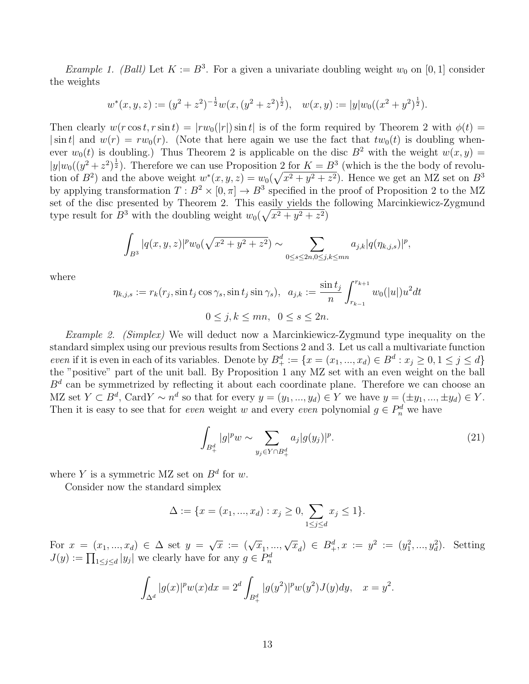*Example 1. (Ball)* Let  $K := B^3$ . For a given a univariate doubling weight  $w_0$  on [0, 1] consider the weights

$$
w^*(x, y, z) := (y^2 + z^2)^{-\frac{1}{2}} w(x, (y^2 + z^2)^{\frac{1}{2}}), \quad w(x, y) := |y| w_0((x^2 + y^2)^{\frac{1}{2}}).
$$

Then clearly  $w(r \cos t, r \sin t) = |rw_0(|r|) \sin t|$  is of the form required by Theorem 2 with  $\phi(t) =$  $|\sin t|$  and  $w(r) = rw_0(r)$ . (Note that here again we use the fact that  $tw_0(t)$  is doubling whenever  $w_0(t)$  is doubling.) Thus Theorem 2 is applicable on the disc  $B^2$  with the weight  $w(x, y) =$  $|y|w_0((y^2+z^2)^{\frac{1}{2}})$ . Therefore we can use Proposition 2 for  $K=B^3$  (which is the the body of revolution of  $B^2$ ) and the above weight  $w^*(x, y, z) = w_0(\sqrt{x^2 + y^2 + z^2})$ . Hence we get an MZ set on  $B^3$ by applying transformation  $T : B^2 \times [0, \pi] \to B^3$  specified in the proof of Proposition 2 to the MZ set of the disc presented by Theorem 2. This easily yields the following Marcinkiewicz-Zygmund type result for  $B^3$  with the doubling weight  $w_0(\sqrt{x^2+y^2+z^2})$ 

$$
\int_{B^3} |q(x,y,z)|^p w_0(\sqrt{x^2+y^2+z^2}) \sim \sum_{0 \le s \le 2n, 0 \le j,k \le mn} a_{j,k} |q(\eta_{k,j,s})|^p,
$$

where

$$
\eta_{k,j,s} := r_k(r_j, \sin t_j \cos \gamma_s, \sin t_j \sin \gamma_s), \ \ a_{j,k} := \frac{\sin t_j}{n} \int_{r_{k-1}}^{r_{k+1}} w_0(|u|) u^2 dt
$$

$$
0 \le j, k \le mn, \ \ 0 \le s \le 2n.
$$

Example 2. (Simplex) We will deduct now a Marcinkiewicz-Zygmund type inequality on the standard simplex using our previous results from Sections 2 and 3. Let us call a multivariate function even if it is even in each of its variables. Denote by  $B^d_+ := \{x = (x_1, ..., x_d) \in B^d : x_j \ge 0, 1 \le j \le d\}$ the "positive" part of the unit ball. By Proposition 1 any MZ set with an even weight on the ball  $B<sup>d</sup>$  can be symmetrized by reflecting it about each coordinate plane. Therefore we can choose an MZ set  $Y \subset B^d$ , Card $Y \sim n^d$  so that for every  $y = (y_1, ..., y_d) \in Y$  we have  $y = (\pm y_1, ..., \pm y_d) \in Y$ . Then it is easy to see that for *even* weight w and every *even* polynomial  $g \in P_n^d$  we have

$$
\int_{B_+^d} |g|^p w \sim \sum_{y_j \in Y \cap B_+^d} a_j |g(y_j)|^p. \tag{21}
$$

where Y is a symmetric MZ set on  $B^d$  for w.

Consider now the standard simplex

$$
\Delta := \{ x = (x_1, ..., x_d) : x_j \ge 0, \sum_{1 \le j \le d} x_j \le 1 \}.
$$

For  $x = (x_1, ..., x_d) \in \Delta$  set  $y =$  $\sqrt{x} := (\sqrt{x}_1, ..., \sqrt{x}_d) \in B_+^d, x := y^2 := (y_1^2, ..., y_d^2)$ . Setting  $J(y) := \prod_{1 \leq j \leq d} |y_j|$  we clearly have for any  $g \in P_n^d$ 

$$
\int_{\Delta^d} |g(x)|^p w(x) dx = 2^d \int_{B_+^d} |g(y^2)|^p w(y^2) J(y) dy, \quad x = y^2.
$$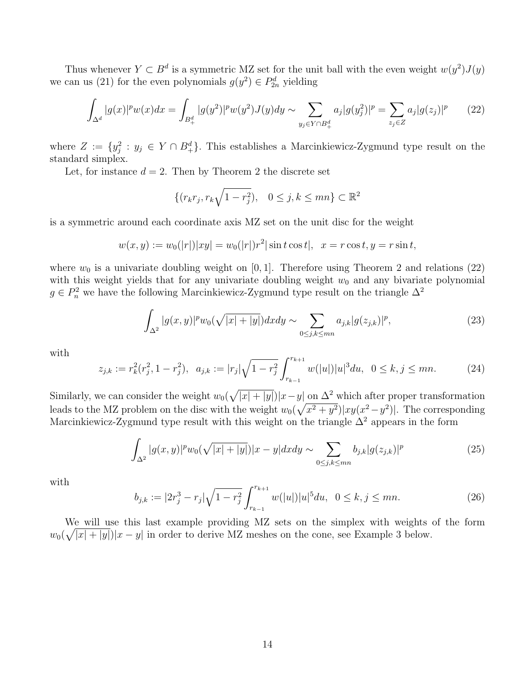Thus whenever  $Y \subset B^d$  is a symmetric MZ set for the unit ball with the even weight  $w(y^2)J(y)$ we can us (21) for the even polynomials  $g(y^2) \in P_{2n}^d$  yielding

$$
\int_{\Delta^d} |g(x)|^p w(x) dx = \int_{B_+^d} |g(y^2)|^p w(y^2) J(y) dy \sim \sum_{y_j \in Y \cap B_+^d} a_j |g(y_j^2)|^p = \sum_{z_j \in Z} a_j |g(z_j)|^p \tag{22}
$$

where  $Z := \{y_j^2 : y_j \in Y \cap B_+^d\}$ . This establishes a Marcinkiewicz-Zygmund type result on the standard simplex.

Let, for instance  $d = 2$ . Then by Theorem 2 the discrete set

$$
\{(r_kr_j, r_k\sqrt{1-r_j^2}), \quad 0 \le j, k \le mn\} \subset \mathbb{R}^2
$$

is a symmetric around each coordinate axis MZ set on the unit disc for the weight

$$
w(x, y) := w_0(|r|)|xy| = w_0(|r|)r^2|\sin t \cos t|, \ \ x = r \cos t, y = r \sin t,
$$

where  $w_0$  is a univariate doubling weight on [0, 1]. Therefore using Theorem 2 and relations (22) with this weight yields that for any univariate doubling weight  $w_0$  and any bivariate polynomial  $g \in P_n^2$  we have the following Marcinkiewicz-Zygmund type result on the triangle  $\Delta^2$ 

$$
\int_{\Delta^2} |g(x,y)|^p w_0(\sqrt{|x|+|y|}) dx dy \sim \sum_{0 \le j,k \le mn} a_{j,k} |g(z_{j,k})|^p,
$$
\n(23)

with

$$
z_{j,k} := r_k^2(r_j^2, 1 - r_j^2), \ \ a_{j,k} := |r_j| \sqrt{1 - r_j^2} \int_{r_{k-1}}^{r_{k+1}} w(|u|) |u|^3 du, \ \ 0 \le k, j \le mn. \tag{24}
$$

Similarly, we can consider the weight  $w_0(\sqrt{|x|+|y|})|x-y|$  on  $\Delta^2$  which after proper transformation leads to the MZ problem on the disc with the weight  $w_0(\sqrt{x^2+y^2})|xy(x^2-y^2)|$ . The corresponding Marcinkiewicz-Zygmund type result with this weight on the triangle  $\Delta^2$  appears in the form

$$
\int_{\Delta^2} |g(x,y)|^p w_0(\sqrt{|x|+|y|}) |x-y| dx dy \sim \sum_{0 \le j,k \le mn} b_{j,k} |g(z_{j,k})|^p \tag{25}
$$

with

$$
b_{j,k} := |2r_j^3 - r_j| \sqrt{1 - r_j^2} \int_{r_{k-1}}^{r_{k+1}} w(|u|) |u|^5 du, \ \ 0 \le k, j \le mn. \tag{26}
$$

We will use this last example providing MZ sets on the simplex with weights of the form  $w_0(\sqrt{|x|+|y|})|x-y|$  in order to derive MZ meshes on the cone, see Example 3 below.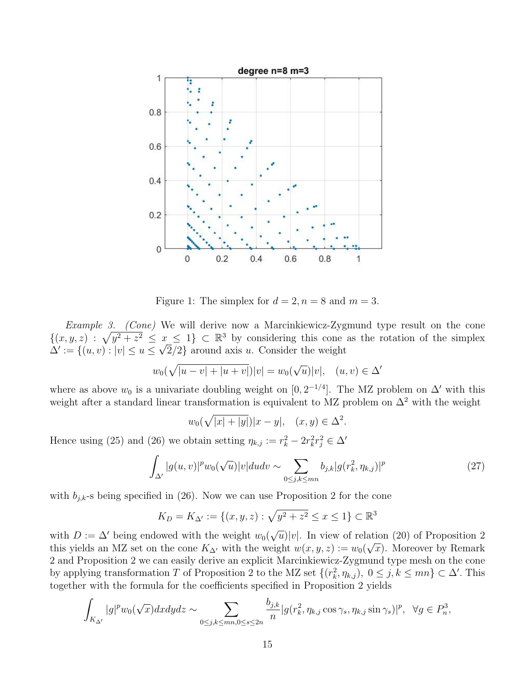

Figure 1: The simplex for  $d = 2, n = 8$  and  $m = 3$ .

Example 3. (Cone) We will derive now a Marcinkiewicz-Zygmund type result on the cone  $\{(x, y, z) : \sqrt{y^2 + z^2} \leq x \leq 1\} \subset \mathbb{R}^3$  by considering this cone as the rotation of the simplex  $\Delta' := \{(u, v) : |v| \le u \le \sqrt{2}/2\}$  around axis u. Consider the weight

$$
w_0(\sqrt{|u-v|+|u+v|})|v| = w_0(\sqrt{u})|v|, (u,v) \in \Delta'
$$

where as above  $w_0$  is a univariate doubling weight on  $[0, 2^{-1/4}]$ . The MZ problem on  $\Delta'$  with this weight after a standard linear transformation is equivalent to MZ problem on  $\Delta^2$  with the weight

$$
w_0(\sqrt{|x|+|y|})|x-y|, (x,y) \in \Delta^2.
$$

Hence using (25) and (26) we obtain setting  $\eta_{k,j} := r_k^2 - 2r_k^2 r_j^2 \in \Delta'$ 

$$
\int_{\Delta'} |g(u,v)|^p w_0(\sqrt{u}) |v| du dv \sim \sum_{0 \le j,k \le mn} b_{j,k} |g(r_k^2, \eta_{k,j})|^p \tag{27}
$$

with  $b_{j,k}$ -s being specified in (26). Now we can use Proposition 2 for the cone

$$
K_D = K_{\Delta'} := \{(x, y, z) : \sqrt{y^2 + z^2} \le x \le 1\} \subset \mathbb{R}^3
$$

with  $D := \Delta'$  being endowed with the weight  $w_0(\sqrt{\Delta})$  $\overline{u}$ |v|. In view of relation (20) of Proposition 2 this yields an MZ set on the cone  $K_{\Delta'}$  with the weight  $w(x, y, z) := w_0(\sqrt{x})$ . Moreover by Remark 2 and Proposition 2 we can easily derive an explicit Marcinkiewicz-Zygmund type mesh on the cone by applying transformation T of Proposition 2 to the MZ set  $\{(r_k^2, \eta_{k,j}), 0 \le j, k \le mn\} \subset \Delta'$ . This together with the formula for the coefficients specified in Proposition 2 yields

$$
\int_{K_{\Delta'}} |g|^p w_0(\sqrt{x}) dx dy dz \sim \sum_{0 \le j,k \le mn, 0 \le s \le 2n} \frac{b_{j,k}}{n} |g(r_k^2, \eta_{k,j} \cos \gamma_s, \eta_{k,j} \sin \gamma_s)|^p, \ \ \forall g \in P_n^3,
$$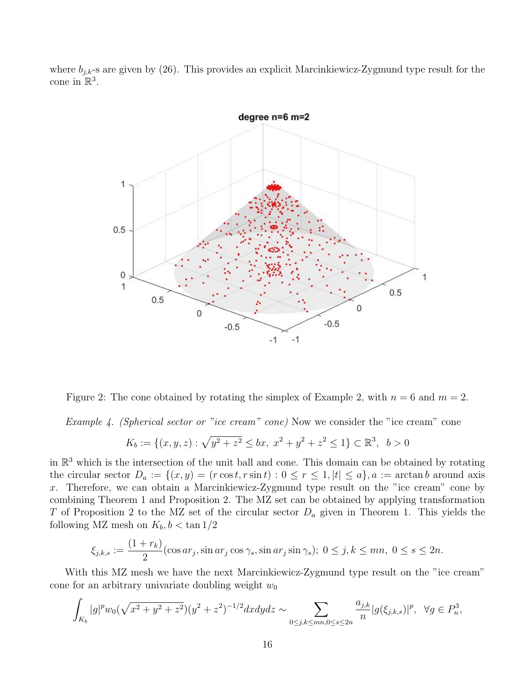where  $b_{i,k}$ -s are given by (26). This provides an explicit Marcinkiewicz-Zygmund type result for the cone in  $\mathbb{R}^3$ .



Figure 2: The cone obtained by rotating the simplex of Example 2, with  $n = 6$  and  $m = 2$ .

Example 4. (Spherical sector or "ice cream" cone) Now we consider the "ice cream" cone

$$
K_b := \{(x, y, z) : \sqrt{y^2 + z^2} \le bx, \ x^2 + y^2 + z^2 \le 1\} \subset \mathbb{R}^3, \ b > 0
$$

in  $\mathbb{R}^3$  which is the intersection of the unit ball and cone. This domain can be obtained by rotating the circular sector  $D_a := \{(x, y) = (r \cos t, r \sin t) : 0 \le r \le 1, |t| \le a\}, a := \arctan b$  around axis x. Therefore, we can obtain a Marcinkiewicz-Zygmund type result on the "ice cream" cone by combining Theorem 1 and Proposition 2. The MZ set can be obtained by applying transformation T of Proposition 2 to the MZ set of the circular sector  $D_a$  given in Theorem 1. This yields the following MZ mesh on  $K_b$ ,  $b < \tan 1/2$ 

$$
\xi_{j,k,s} := \frac{(1+r_k)}{2} (\cos ar_j, \sin ar_j \cos \gamma_s, \sin ar_j \sin \gamma_s); 0 \le j, k \le mn, 0 \le s \le 2n.
$$

With this MZ mesh we have the next Marcinkiewicz-Zygmund type result on the "ice cream" cone for an arbitrary univariate doubling weight  $w_0$ 

$$
\int_{K_b} |g|^p w_0(\sqrt{x^2+y^2+z^2})(y^2+z^2)^{-1/2} dx dy dz \sim \sum_{0 \le j,k \le mn, 0 \le s \le 2n} \frac{a_{j,k}}{n} |g(\xi_{j,k,s})|^p, \ \ \forall g \in P_n^3,
$$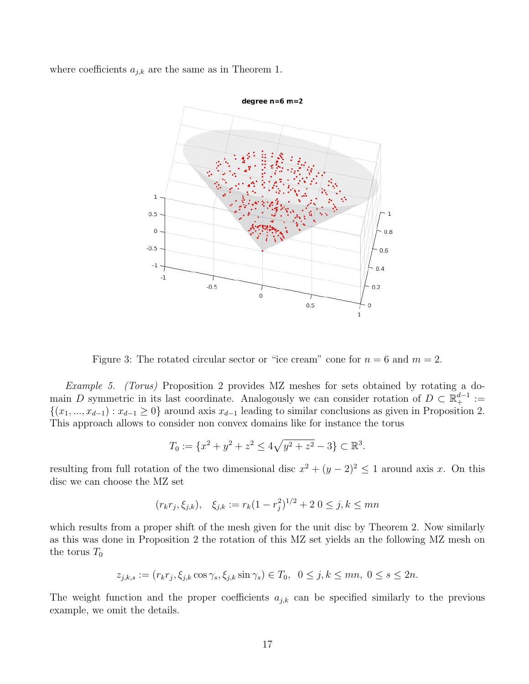where coefficients  $a_{j,k}$  are the same as in Theorem 1.



Figure 3: The rotated circular sector or "ice cream" cone for  $n = 6$  and  $m = 2$ .

Example 5. (Torus) Proposition 2 provides MZ meshes for sets obtained by rotating a domain D symmetric in its last coordinate. Analogously we can consider rotation of  $D \subset \mathbb{R}^{d-1}_+ :=$  $\{(x_1, ..., x_{d-1}) : x_{d-1} \geq 0\}$  around axis  $x_{d-1}$  leading to similar conclusions as given in Proposition 2. This approach allows to consider non convex domains like for instance the torus

$$
T_0 := \{x^2 + y^2 + z^2 \le 4\sqrt{y^2 + z^2} - 3\} \subset \mathbb{R}^3.
$$

resulting from full rotation of the two dimensional disc  $x^2 + (y - 2)^2 \le 1$  around axis x. On this disc we can choose the MZ set

$$
(r_k r_j, \xi_{j,k}), \quad \xi_{j,k} := r_k (1 - r_j^2)^{1/2} + 2 \ 0 \le j, k \le mn
$$

which results from a proper shift of the mesh given for the unit disc by Theorem 2. Now similarly as this was done in Proposition 2 the rotation of this MZ set yields an the following MZ mesh on the torus  $T_0$ 

$$
z_{j,k,s} := (r_k r_j, \xi_{j,k} \cos \gamma_s, \xi_{j,k} \sin \gamma_s) \in T_0, \ \ 0 \le j,k \le mn, \ 0 \le s \le 2n.
$$

The weight function and the proper coefficients  $a_{j,k}$  can be specified similarly to the previous example, we omit the details.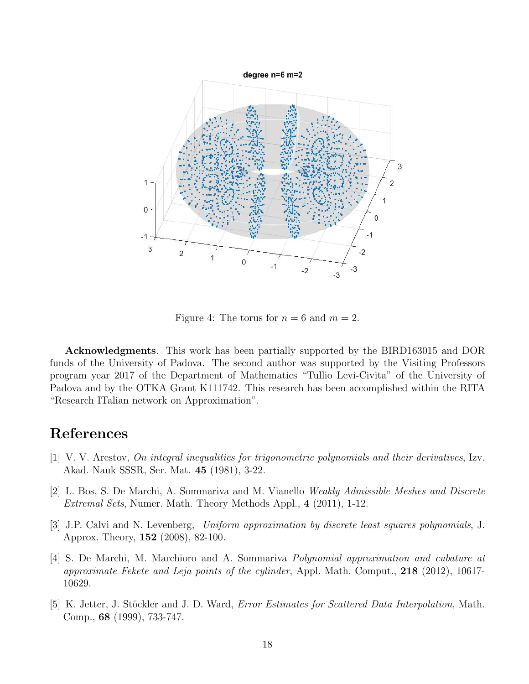

Figure 4: The torus for  $n = 6$  and  $m = 2$ .

Acknowledgments. This work has been partially supported by the BIRD163015 and DOR funds of the University of Padova. The second author was supported by the Visiting Professors program year 2017 of the Department of Mathematics "Tullio Levi-Civita" of the University of Padova and by the OTKA Grant K111742. This research has been accomplished within the RITA "Research ITalian network on Approximation".

# References

- [1] V. V. Arestov, On integral inequalities for trigonometric polynomials and their derivatives, Izv. Akad. Nauk SSSR, Ser. Mat. 45 (1981), 3-22.
- [2] L. Bos, S. De Marchi, A. Sommariva and M. Vianello Weakly Admissible Meshes and Discrete Extremal Sets, Numer. Math. Theory Methods Appl., 4 (2011), 1-12.
- [3] J.P. Calvi and N. Levenberg, Uniform approximation by discrete least squares polynomials, J. Approx. Theory, 152 (2008), 82-100.
- [4] S. De Marchi, M. Marchioro and A. Sommariva Polynomial approximation and cubature at approximate Fekete and Leja points of the cylinder, Appl. Math. Comput., 218 (2012), 10617- 10629.
- [5] K. Jetter, J. Stöckler and J. D. Ward, *Error Estimates for Scattered Data Interpolation*, Math. Comp., 68 (1999), 733-747.